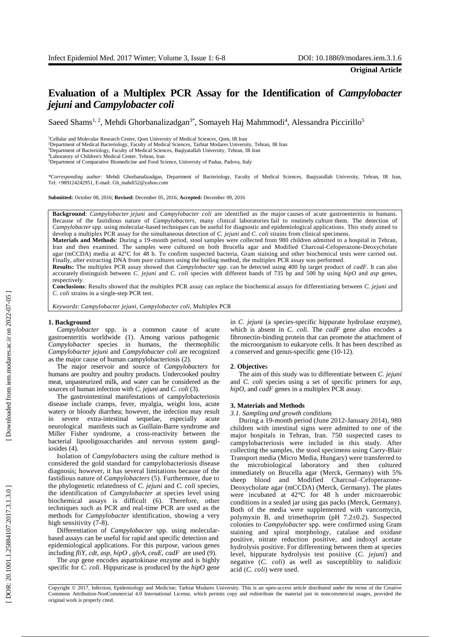# **Evaluation of a M ultiplex PCR Assay for the Identification of** *Campylobacter jejuni* **and** *Campylobacter coli*

Saeed Shams<sup>1, 2</sup>, Mehdi Ghorbanalizadgan<sup>3\*</sup>, Somayeh Haj Mahmmodi<sup>4</sup>, Alessandra Piccirillo<sup>5</sup>

<sup>1</sup>Cellular and Molecular Research Center, Qom University of Medical Sciences, Qom, IR Iran<br><sup>2</sup>Department of Medical Bacteriology, Faculty of Medical Sciences, Tarbiat Modares University, Tehran, IR Iran

<sup>3</sup>Department of Bacteriology, Faculty of Medical Sciences, Baqiyatallah University, Tehran, IR Iran

<sup>4</sup>Laboratory of Children's Medical Center. Tehran, Iran

<sup>5</sup>Department of Comparative Biomedicine and Food Science, University of Padua, Padova, Italy

*\*Corresponding author:* Mehdi Ghorbanalizadga n, Department of Bacteriology, Faculty of Medical Sciences, Baqiyatallah University, Tehran, IR Iran , Tel: +989124242951, E -mail: Gh\_mahdi52@yahoo.com

**Submitted:** October 08, 2016; **Revised:** December 05, 2016; **Accepted:** December 09, 2016

Background: *Campylobacter jejuni* and *Campylobacter coli* are identified as the major causes of acute gastroenteritis in humans. Because of the fastidious nature of *Campylobacters*, many clinical laboratories fail to routinely culture them. The detection of Campylobacter spp. using molecular-based techniques can be useful for diagnostic and epidemiological applications. This study aimed to develop a multiplex PCR assay for the simultaneous detection of *C. jejuni* and *C. coli* strains from clinical specimens.

Materials and Methods: During a 19-month period, stool samples were collected from 980 children admitted to a hospital in Tehran, Iran and then examined. The samples were cultured on both Brucella agar and Modified Charcoal -Cefoperazone -Deoxycholate agar (mCCDA) media at 42°C for 48 h. To confirm suspected bacteria, Gram staining and other biochemical tests were carried out. Finally, after extracting DNA from pure cultures using the boiling method, the multiplex PCR assay was performed.

**Results:** The multiplex PCR assay showed that *Campylobacter* spp. can be detected using 400 bp target product of *cadF*. It can also accurately distinguish between *C. jejuni* and *C. coli* species with different bands of 735 bp and 500 bp using *hipO* and *asp* genes, respectively .

**Conclusions**: Results showed that the multiplex PCR assay can replace the biochemical assays for differentiating between *C. jejuni* and *C. coli* strains in a single -step PCR test.

*Keyword s* : *Campylobacter jejuni*, *Campylobacter coli* , Multiplex PCR

## **1. Background**

*Campylobacter* spp. is a common cause of acute gastroenteritis worldwide (1) . Among various pathogenic *Campylobacter* species in humans, the thermophilic *Campylobacter jejuni* and *Campylobacter coli* are recognized as the major cause of human campylobacteriosis (2) .

The major reservoir and source of *Campylobacters* for humans are poultry and poultry products. Undercooked poultry meat, unpasteurized milk, and water can be considered as the sources of human infection with *C. jejuni* and *C. coli* (3).

The gastrointestinal manifestations of campylobacteriosis disease include cramp s, fever, myalgia, weight loss, acute watery or bloody diarrhea ; however, the infection may result in severe extra -intestinal sequelae , especially acute neurological manifests such as Guillain -Barre syndrome and Miller Fisher syndrome, a cross-reactivity between the bacterial lipooligosaccharides and nervous system gangl iosides (4) .

Isolation of *Campylobacters* using the culture method is considered the gold standard for campylobacteriosis disease diagnosis ; however, it has several limitations because of the fastidious nature of *Campylobacters* (5) . Furthermore, due to the phylogenetic relatedness of *C. jejuni* and *C. coli* species, the identification of *Campylobacter* at species level using biochemical assays is difficult (6). Therefore, other techniques such as PCR and real -time PCR are used as the methods for *Campylobacter* identification , showing a very high sensitivity (7-8).

Differentiation of *Campylobacter* spp. using molecular based assays can be useful for rapid and specific detection and epidemiological applications . For this purpose, various genes including *fliY, cdt, asp, hipO , glyA, ceuE, cadF* are used (9) .

The *asp* gene encodes aspartokinase enzyme and is highly specific for *C. coli* . Hippuricase is produced by the *hipO* gene in *C. jejuni* (a species -specific hippurate hydrolase enzyme) , which is absent in *C. coli*. The *cadF* gene also encodes a fibronectin -binding protein that can promote the attachment of the microorganism to eukaryote cells . It has been described as a conserve d and genus -specific gene (10 -12) .

## **2**. **Objective** s

The aim of this study was to differentiate between *C. jejuni* and *C. coli* species using a set of specific primers for *asp*, hipO, and *cadF* genes in a multiplex PCR assay.

### **3. Materials and Methods**

*3.1. Sampling and growth conditions*

During a 1 9 -month period (June 20 1 2 -January 2014 ), 980 children with intestinal signs were admitted to one of the major hospital s in Tehran, Iran. 750 suspected cases to campylobacteriosis were included in this study . After collecting the samples, the stool specimens using Carry -Blair Transport media (Micro Media, Hung ary) were transferred to the microbiological laboratory and then cultured immediately on Brucella agar (Merck, Germany) with 5% sheep blood and Modified Charcoal-Cefoperazone-Deoxycholate agar (mCCDA) (Merck, Germany). The plates were incubated at 42°C for 48 h under microaerobic conditions in a sealed jar using gas packs (Merck, Germany). Both of the media were supplemented with vancomycin, polymyxin B , and trimethoprim (pH 7.2±0.2). Suspected colonies to *Campylobacter* spp. were confirmed using Gram staining and spiral morphology, catalase and oxidase positive, nitrate reduction positive , and indoxyl acetate hydrolysis positive. For differenting between them at species level , hippurate hydrolysis test positive (*C. jejuni*) and negative (*C. coli* ) as well as susceptiblity to nalidixic acid (*C. coli* ) were used .

Copyright © 2017, Infection, Epidemiology and Medicine; Tarbiat Modares University. This is an open -access article distributed under the terms of the Creative Commons Attribution -NonCommercial 4.0 International License, which permits copy and redistribute the material just in noncommercial usages, provided the original work is properly cited .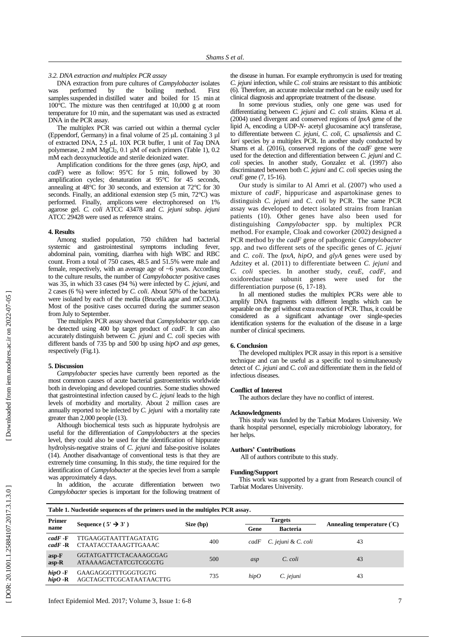## *3.2. DNA extraction and multiplex PCR assay*

DNA extraction from pure culture s of *Campylobacter* isolates was performed by the boiling method. First samples suspended in distilled water and boiled for 15 min at 100 $^{\circ}$ C. The mixture was then centrifuged at 10,000 g at room temperature for 10 min , and the supernatant was used as extracted DNA in the PCR assay .

The multiplex PCR was carried out within a thermal cycler (Eppendorf, Germany) in a final volume of 25 μL containing 3 µl of extracted DNA, 2.5 μL 10X PCR buffer, 1 unit of *Taq* DNA polymerase, 2 mM MgCl <sup>2</sup>, 0.1 μM of each primers (Table 1), 0.2 mM each deoxynucleotide and sterile deionized water.

Amplification conditions for the three genes (*asp*, *hipO,* and *cadF*) were as follow : 95°C for 5 min, followed by 30 amplification cycles ; denaturation at 95°C for 45 seconds, annealing at 48°C for 30 seconds , and extension at 72°C for 30 seconds. Finally, an additional extension step (5 min, 72°C) was performed. Finally, amplicons were electrophoresed on 1% agarose gel . *C. coli* ATCC 43478 and *C. jejuni* subsp. *jejuni* ATCC 29428 were used as reference strains.

### **4. Results**

Among studied population, 750 children had bacterial systemic and gastrointestinal symptoms including fever, abdominal pain, vomiting, diarrhea with high WBC and RBC count. From a total of 750 cases, 48.5 and 51.5% were male and female, respectively, with an average age of ~6 years. According to the culture results, the number of *Campylobacter* positive cases was 3 5, in which 33 cases (94 %) were infected by *C. jejuni,* and 2 cases (6 %) were infected by *C. coli*. About 50% of the bacteria were isolated by each of the medi a (Brucella agar and mCCDA). Most of the positive cases occurred during the summer season from July to September.

The multiplex PCR assay showed that *Campylobacter* spp. can be detected using 400 bp target product of *cadF*. It can also accurately distinguish between *C. jejuni* and *C. coli*  species with different bands of 735 bp and 500 bp using *hipO* and *asp* genes, respectively (Fig. 1).

## **5. Discussion**

**Primer**

*Campylobacter* species have currently been reported as the most common causes of acute bacterial gastroenteritis worldwide both in developing and developed countries . Some studies showed that gastrointestinal infection caused by *C. jejuni* leads to the high levels of morbidity and mortality . About 2 million cases are annually reported to be infected by *C. jejuni* with a mortality rate greater than 2,000 people (13) .

Although biochemical tests such as hippurate hydrolysis are useful for the differentiation of *Campylobacters* at the species level, they could also be used for the identification of hippurate hydrolysis -negative strains of *C. jejuni* and false -positive isolates (14) . Another disadvantage of conventional tests is that they are extremely time consuming. In this study, the time required for the identification of *Campylobacter* at the species level from a sample was approximately 4 days.

In addition, the accurate differentiation between two *Campylobacter* species is important for the following treatment of

**Table 1. Nucleotide sequences of the primers used in the multiplex PCR assay .**

the disease in human . For example erythromycin is used for treating *C. jejuni* infection , while *C. coli* strains are resistant to this antibiotic (6). Therefore, an accurate molecular method can be easily used for clinical diagnosis and appropriate treatment of the disease.

In some previous studies , only one gene was used for differentiating between *C. jejuni* and *C. coli* strains*.* Klena et al. (2004) used divergen t and conserved regions of *lpxA* gene of the lipid A, encoding a UDP - *N*- acetyl glucosamine acyl transferase, to differentiate between *C. jejuni, C. coli, C. upsaliensis* and *C.*  lari species by a multiplex PCR. In another study conducted by Shams et al. (2016), conserved regions of the *cadF* gene were used for the detection and differentiation between *C. jejuni* and *C. coli* species. In another study, Gonzalez et al. (1997) also discriminated between both *C. jejuni* and *C. coli* species using the ceuE gene (7, 15-16).

Our study is similar to Al Amri et al. (2007) who used a mixture of *cadF*, hippuricase and aspartokinase genes to distinguish *C. jejuni* and *C. coli* by PCR . The same PCR assay was developed to detect isolated strains from Iranian patients (10). Other genes have also been used for distinguishing *Campylobacter* spp. by multiplex PCR method . For example, Cloak and coworker (2002) designed a PCR method by the *cadF* gene of pathogenic *Campylobacter* spp . and two different sets of the specific gene s of *C. jejuni* and *C. coli*. The *lpxA*, *hipO*, and *glyA* genes were used by Adzitey et al. (2011) to differentiate between *C. jejuni* and *C. coli* species. In another study, *ceuE*, *cadF,* and oxidoreductase subunit genes were used for the differentiation purpose (6, 17-18).

In all mentioned studies the multiplex PCRs were able to amplify DNA fragments with different lengths which can be separable on the gel without extra reaction of PCR . Thus, it could be considered as a significant advantage over single-species identification systems for the evaluation of the disease in a large number of clinical specimens .

# **6. Conclusion**

The developed multiplex PCR assay in this report is a sensitive technique and can be useful as a specific tool to simultaneously detect of *C. jejun i* and *C. coli* and differentiate them in the field of infectious diseases.

## **Conflict of Interest**

The authors declare they have no conflict of interest.

## **Acknowledgment s**

This study was funded by the Tarbiat Modares University. We thank hospital personnel, especially microbiology laboratory, for her helps.

## **Authors' Contribution s**

All of authors contribute to this study.

**Targets**

## **Funding/Support**

This work was supported by a grant from Research council of Tarbiat Modares University.

Size (bp)

Sequence (5' → 3')

**Annealing temperature ( °C)**